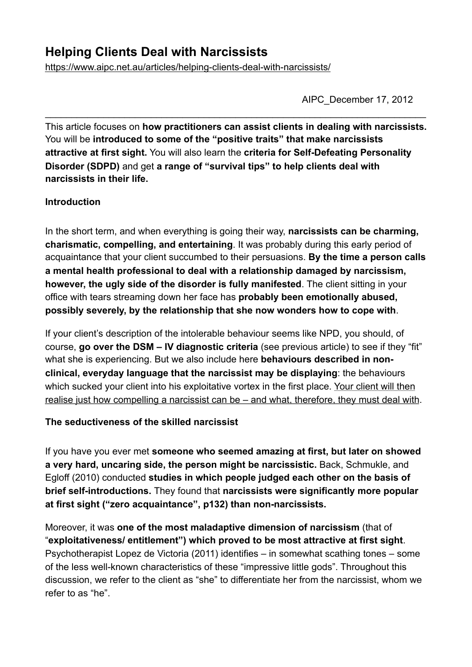# **Helping Clients Deal with Narcissists**

<https://www.aipc.net.au/articles/helping-clients-deal-with-narcissists/>

AIPC\_December 17, 2012

This article focuses on **how practitioners can assist clients in dealing with narcissists.** You will be **introduced to some of the "positive traits" that make narcissists attractive at first sight.** You will also learn the **criteria for Self-Defeating Personality Disorder (SDPD)** and get **a range of "survival tips" to help clients deal with narcissists in their life.** 

 $\_$  , and the contribution of the contribution of  $\mathcal{L}_\mathcal{A}$  , and the contribution of  $\mathcal{L}_\mathcal{A}$ 

#### **Introduction**

In the short term, and when everything is going their way, **narcissists can be charming, charismatic, compelling, and entertaining**. It was probably during this early period of acquaintance that your client succumbed to their persuasions. **By the time a person calls a mental health professional to deal with a relationship damaged by narcissism, however, the ugly side of the disorder is fully manifested**. The client sitting in your office with tears streaming down her face has **probably been emotionally abused, possibly severely, by the relationship that she now wonders how to cope with**.

If your client's description of the intolerable behaviour seems like NPD, you should, of course, **go over the DSM – IV diagnostic criteria** (see previous article) to see if they "fit" what she is experiencing. But we also include here **behaviours described in nonclinical, everyday language that the narcissist may be displaying**: the behaviours which sucked your client into his exploitative vortex in the first place. Your client will then realise just how compelling a narcissist can be – and what, therefore, they must deal with.

#### **The seductiveness of the skilled narcissist**

If you have you ever met **someone who seemed amazing at first, but later on showed a very hard, uncaring side, the person might be narcissistic.** Back, Schmukle, and Egloff (2010) conducted **studies in which people judged each other on the basis of brief self-introductions.** They found that **narcissists were significantly more popular at first sight ("zero acquaintance", p132) than non-narcissists.** 

Moreover, it was **one of the most maladaptive dimension of narcissism** (that of "**exploitativeness/ entitlement") which proved to be most attractive at first sight**. Psychotherapist Lopez de Victoria (2011) identifies – in somewhat scathing tones – some of the less well-known characteristics of these "impressive little gods". Throughout this discussion, we refer to the client as "she" to differentiate her from the narcissist, whom we refer to as "he".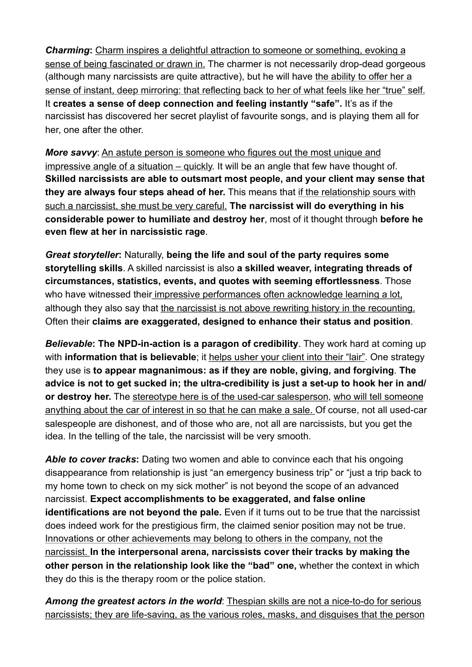*Charming***:** Charm inspires a delightful attraction to someone or something, evoking a sense of being fascinated or drawn in. The charmer is not necessarily drop-dead gorgeous (although many narcissists are quite attractive), but he will have the ability to offer her a sense of instant, deep mirroring: that reflecting back to her of what feels like her "true" self. It **creates a sense of deep connection and feeling instantly "safe".** It's as if the narcissist has discovered her secret playlist of favourite songs, and is playing them all for her, one after the other.

*More savvy*: An astute person is someone who figures out the most unique and impressive angle of a situation – quickly. It will be an angle that few have thought of. **Skilled narcissists are able to outsmart most people, and your client may sense that they are always four steps ahead of her.** This means that if the relationship sours with such a narcissist, she must be very careful. **The narcissist will do everything in his considerable power to humiliate and destroy her**, most of it thought through **before he even flew at her in narcissistic rage**.

*Great storyteller***:** Naturally, **being the life and soul of the party requires some storytelling skills**. A skilled narcissist is also **a skilled weaver, integrating threads of circumstances, statistics, events, and quotes with seeming effortlessness**. Those who have witnessed their impressive performances often acknowledge learning a lot, although they also say that the narcissist is not above rewriting history in the recounting. Often their **claims are exaggerated, designed to enhance their status and position**.

*Believable***: The NPD-in-action is a paragon of credibility**. They work hard at coming up with **information that is believable**; it helps usher your client into their "lair". One strategy they use is **to appear magnanimous: as if they are noble, giving, and forgiving**. **The advice is not to get sucked in; the ultra-credibility is just a set-up to hook her in and/ or destroy her.** The stereotype here is of the used-car salesperson, who will tell someone anything about the car of interest in so that he can make a sale. Of course, not all used-car salespeople are dishonest, and of those who are, not all are narcissists, but you get the idea. In the telling of the tale, the narcissist will be very smooth.

*Able to cover tracks***:** Dating two women and able to convince each that his ongoing disappearance from relationship is just "an emergency business trip" or "just a trip back to my home town to check on my sick mother" is not beyond the scope of an advanced narcissist. **Expect accomplishments to be exaggerated, and false online identifications are not beyond the pale.** Even if it turns out to be true that the narcissist does indeed work for the prestigious firm, the claimed senior position may not be true. Innovations or other achievements may belong to others in the company, not the narcissist. **In the interpersonal arena, narcissists cover their tracks by making the other person in the relationship look like the "bad" one,** whether the context in which they do this is the therapy room or the police station.

*Among the greatest actors in the world*: Thespian skills are not a nice-to-do for serious narcissists; they are life-saving, as the various roles, masks, and disguises that the person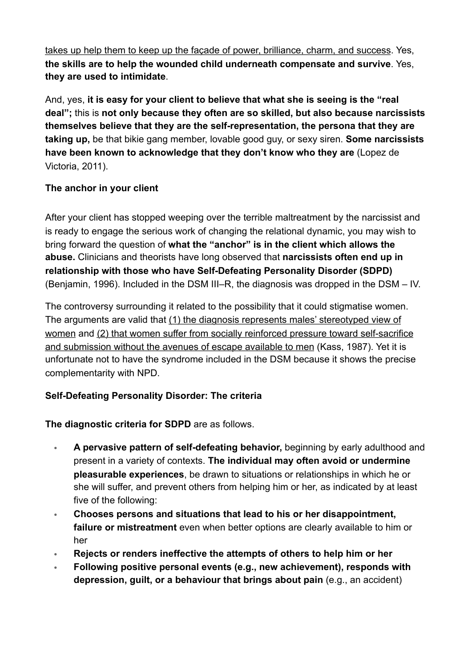takes up help them to keep up the façade of power, brilliance, charm, and success. Yes, **the skills are to help the wounded child underneath compensate and survive**. Yes, **they are used to intimidate**.

And, yes, **it is easy for your client to believe that what she is seeing is the "real deal";** this is **not only because they often are so skilled, but also because narcissists themselves believe that they are the self-representation, the persona that they are taking up,** be that bikie gang member, lovable good guy, or sexy siren. **Some narcissists have been known to acknowledge that they don't know who they are** (Lopez de Victoria, 2011).

### **The anchor in your client**

After your client has stopped weeping over the terrible maltreatment by the narcissist and is ready to engage the serious work of changing the relational dynamic, you may wish to bring forward the question of **what the "anchor" is in the client which allows the abuse.** Clinicians and theorists have long observed that **narcissists often end up in relationship with those who have Self-Defeating Personality Disorder (SDPD)**  (Benjamin, 1996). Included in the DSM III–R, the diagnosis was dropped in the DSM – IV.

The controversy surrounding it related to the possibility that it could stigmatise women. The arguments are valid that (1) the diagnosis represents males' stereotyped view of women and (2) that women suffer from socially reinforced pressure toward self-sacrifice and submission without the avenues of escape available to men (Kass, 1987). Yet it is unfortunate not to have the syndrome included in the DSM because it shows the precise complementarity with NPD.

## **Self-Defeating Personality Disorder: The criteria**

## **The diagnostic criteria for SDPD** are as follows.

- **A pervasive pattern of self-defeating behavior,** beginning by early adulthood and present in a variety of contexts. **The individual may often avoid or undermine pleasurable experiences**, be drawn to situations or relationships in which he or she will suffer, and prevent others from helping him or her, as indicated by at least five of the following:
- **Chooses persons and situations that lead to his or her disappointment, failure or mistreatment** even when better options are clearly available to him or her
- **Rejects or renders ineffective the attempts of others to help him or her**
- **Following positive personal events (e.g., new achievement), responds with depression, guilt, or a behaviour that brings about pain** (e.g., an accident)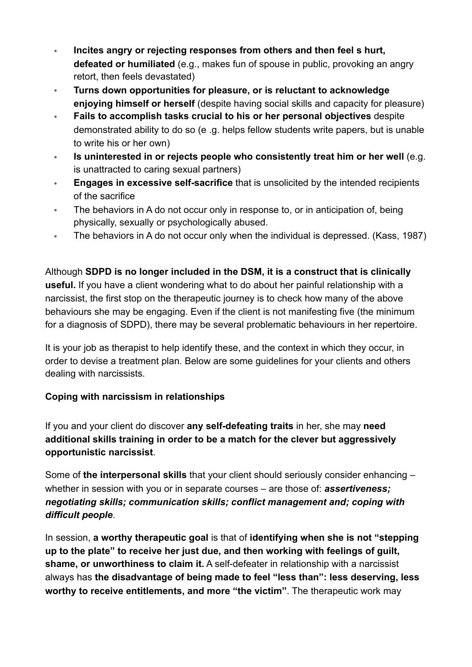- **Incites angry or rejecting responses from others and then feel s hurt, defeated or humiliated** (e.g., makes fun of spouse in public, provoking an angry retort, then feels devastated)
- **Turns down opportunities for pleasure, or is reluctant to acknowledge enjoying himself or herself** (despite having social skills and capacity for pleasure)
- **Fails to accomplish tasks crucial to his or her personal objectives** despite demonstrated ability to do so (e .g. helps fellow students write papers, but is unable to write his or her own)
- **Is uninterested in or rejects people who consistently treat him or her well** (e.g. is unattracted to caring sexual partners)
- **Engages in excessive self-sacrifice** that is unsolicited by the intended recipients of the sacrifice
- The behaviors in A do not occur only in response to, or in anticipation of, being physically, sexually or psychologically abused.
- The behaviors in A do not occur only when the individual is depressed. (Kass, 1987)

Although **SDPD is no longer included in the DSM, it is a construct that is clinically useful.** If you have a client wondering what to do about her painful relationship with a narcissist, the first stop on the therapeutic journey is to check how many of the above behaviours she may be engaging. Even if the client is not manifesting five (the minimum for a diagnosis of SDPD), there may be several problematic behaviours in her repertoire.

It is your job as therapist to help identify these, and the context in which they occur, in order to devise a treatment plan. Below are some guidelines for your clients and others dealing with narcissists.

### **Coping with narcissism in relationships**

If you and your client do discover **any self-defeating traits** in her, she may **need additional skills training in order to be a match for the clever but aggressively opportunistic narcissist**.

Some of **the interpersonal skills** that your client should seriously consider enhancing – whether in session with you or in separate courses – are those of: *assertiveness; negotiating skills; communication skills; conflict management and; coping with difficult people*.

In session, **a worthy therapeutic goal** is that of **identifying when she is not "stepping up to the plate" to receive her just due, and then working with feelings of guilt, shame, or unworthiness to claim it.** A self-defeater in relationship with a narcissist always has **the disadvantage of being made to feel "less than": less deserving, less worthy to receive entitlements, and more "the victim"**. The therapeutic work may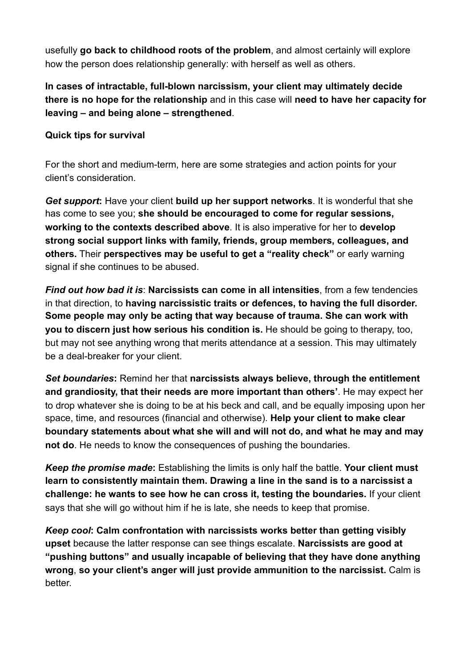usefully **go back to childhood roots of the problem**, and almost certainly will explore how the person does relationship generally: with herself as well as others.

**In cases of intractable, full-blown narcissism, your client may ultimately decide there is no hope for the relationship** and in this case will **need to have her capacity for leaving – and being alone – strengthened**.

### **Quick tips for survival**

For the short and medium-term, here are some strategies and action points for your client's consideration.

*Get support***:** Have your client **build up her support networks**. It is wonderful that she has come to see you; **she should be encouraged to come for regular sessions, working to the contexts described above**. It is also imperative for her to **develop strong social support links with family, friends, group members, colleagues, and others.** Their **perspectives may be useful to get a "reality check"** or early warning signal if she continues to be abused.

*Find out how bad it is*: **Narcissists can come in all intensities**, from a few tendencies in that direction, to **having narcissistic traits or defences, to having the full disorder. Some people may only be acting that way because of trauma. She can work with you to discern just how serious his condition is.** He should be going to therapy, too, but may not see anything wrong that merits attendance at a session. This may ultimately be a deal-breaker for your client.

*Set boundaries***:** Remind her that **narcissists always believe, through the entitlement and grandiosity, that their needs are more important than others'**. He may expect her to drop whatever she is doing to be at his beck and call, and be equally imposing upon her space, time, and resources (financial and otherwise). **Help your client to make clear boundary statements about what she will and will not do, and what he may and may not do**. He needs to know the consequences of pushing the boundaries.

*Keep the promise made***:** Establishing the limits is only half the battle. **Your client must learn to consistently maintain them. Drawing a line in the sand is to a narcissist a challenge: he wants to see how he can cross it, testing the boundaries.** If your client says that she will go without him if he is late, she needs to keep that promise.

*Keep cool***: Calm confrontation with narcissists works better than getting visibly upset** because the latter response can see things escalate. **Narcissists are good at "pushing buttons" and usually incapable of believing that they have done anything wrong**, **so your client's anger will just provide ammunition to the narcissist.** Calm is better.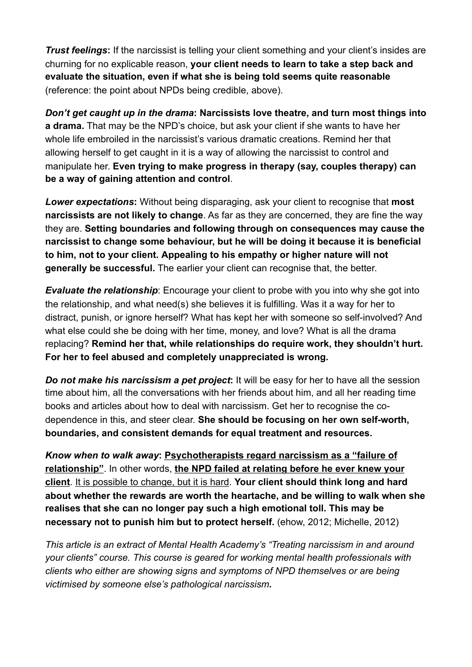*Trust feelings*: If the narcissist is telling your client something and your client's insides are churning for no explicable reason, **your client needs to learn to take a step back and evaluate the situation, even if what she is being told seems quite reasonable** (reference: the point about NPDs being credible, above).

*Don't get caught up in the drama***: Narcissists love theatre, and turn most things into a drama.** That may be the NPD's choice, but ask your client if she wants to have her whole life embroiled in the narcissist's various dramatic creations. Remind her that allowing herself to get caught in it is a way of allowing the narcissist to control and manipulate her. **Even trying to make progress in therapy (say, couples therapy) can be a way of gaining attention and control**.

*Lower expectations***:** Without being disparaging, ask your client to recognise that **most narcissists are not likely to change**. As far as they are concerned, they are fine the way they are. **Setting boundaries and following through on consequences may cause the narcissist to change some behaviour, but he will be doing it because it is beneficial to him, not to your client. Appealing to his empathy or higher nature will not generally be successful.** The earlier your client can recognise that, the better.

*Evaluate the relationship*: Encourage your client to probe with you into why she got into the relationship, and what need(s) she believes it is fulfilling. Was it a way for her to distract, punish, or ignore herself? What has kept her with someone so self-involved? And what else could she be doing with her time, money, and love? What is all the drama replacing? **Remind her that, while relationships do require work, they shouldn't hurt. For her to feel abused and completely unappreciated is wrong.** 

*Do not make his narcissism a pet project***:** It will be easy for her to have all the session time about him, all the conversations with her friends about him, and all her reading time books and articles about how to deal with narcissism. Get her to recognise the codependence in this, and steer clear. **She should be focusing on her own self-worth, boundaries, and consistent demands for equal treatment and resources.**

*Know when to walk away***: Psychotherapists regard narcissism as a "failure of relationship"**. In other words, **the NPD failed at relating before he ever knew your client**. It is possible to change, but it is hard. **Your client should think long and hard about whether the rewards are worth the heartache, and be willing to walk when she realises that she can no longer pay such a high emotional toll. This may be necessary not to punish him but to protect herself.** (ehow, 2012; Michelle, 2012)

*This article is an extract of Mental Health Academy's ["Treating narcissism in and around](http://www.mentalhealthacademy.com.au/courses_details.php?catid=5&courseid=103)  [your clients](http://www.mentalhealthacademy.com.au/courses_details.php?catid=5&courseid=103)" course. This course is geared for working mental health professionals with clients who either are showing signs and symptoms of NPD themselves or are being victimised by someone else's pathological narcissism.*